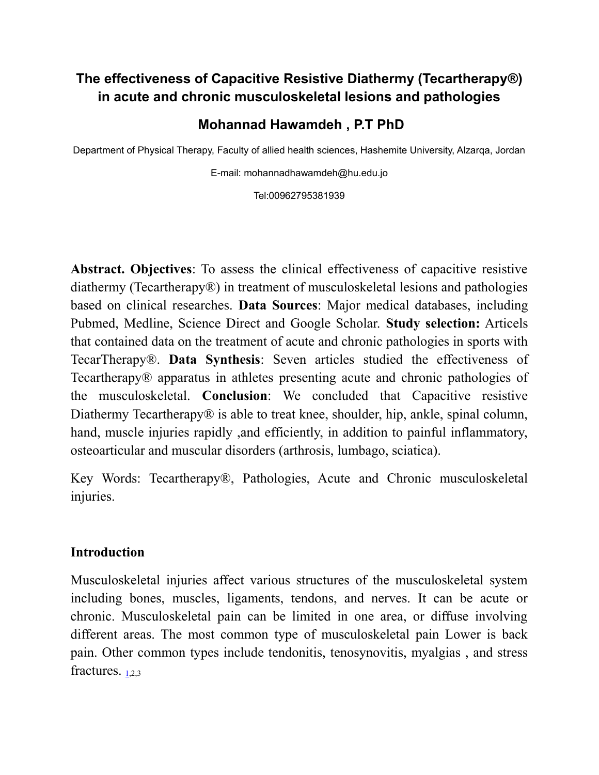## **The effectiveness of Capacitive Resistive Diathermy (Tecartherapy®) in acute and chronic musculoskeletal lesions and pathologies**

## **Mohannad Hawamdeh , P.T PhD**

Department of Physical Therapy, Faculty of allied health sciences, Hashemite University, Alzarqa, Jordan

E-mail: mohannadhawamdeh@hu.edu.jo

Tel:00962795381939

**Abstract. Objectives**: To assess the clinical effectiveness of capacitive resistive diathermy (Tecartherapy®) in treatment of musculoskeletal lesions and pathologies based on clinical researches. **Data Sources**: Major medical databases, including Pubmed, Medline, Science Direct and Google Scholar. **Study selection:** Articels that contained data on the treatment of acute and chronic pathologies in sports with TecarTherapy®. **Data Synthesis**: Seven articles studied the effectiveness of Tecartherapy® apparatus in athletes presenting acute and chronic pathologies of the musculoskeletal. **Conclusion**: We concluded that Capacitive resistive Diathermy Tecartherapy<sup>®</sup> is able to treat knee, shoulder, hip, ankle, spinal column, hand, muscle injuries rapidly , and efficiently, in addition to painful inflammatory, osteoarticular and muscular disorders (arthrosis, lumbago, sciatica).

Key Words: Tecartherapy®, Pathologies, Acute and Chronic musculoskeletal injuries.

#### **Introduction**

Musculoskeletal injuries affect various structures of the musculoskeletal system including bones, muscles, ligaments, tendons, and nerves. It can be acute or chronic. Musculoskeletal pain can be limited in one area, or diffuse involving different areas. The most common type of musculoskeletal pain Lower is back pain. Other common types include tendonitis, tenosynovitis, myalgias , and stress fractures.  $1.2.3$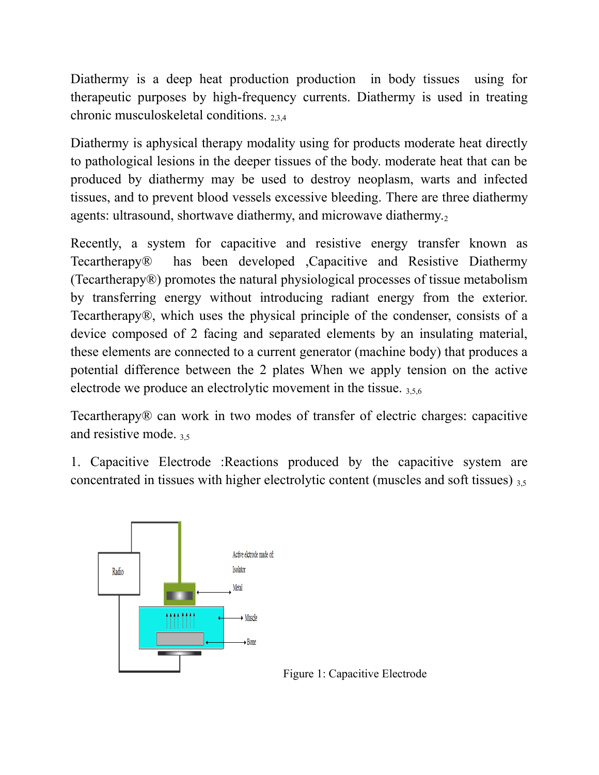Diathermy is a deep heat production production in body tissues using for therapeutic purposes by high-frequency currents. Diathermy is used in treating chronic musculoskeletal conditions. 2,3,4

Diathermy is aphysical therapy modality using for products moderate heat directly to pathological lesions in the deeper tissues of the body. moderate heat that can be produced by diathermy may be used to destroy neoplasm, warts and infected tissues, and to prevent blood vessels excessive bleeding. There are three diathermy agents: ultrasound, shortwave diathermy, and microwave diathermy.<sup>2</sup>

Recently, a system for capacitive and resistive energy transfer known as Tecartherapy® has been developed ,Capacitive and Resistive Diathermy (Tecartherapy®) promotes the natural physiological processes of tissue metabolism by transferring energy without introducing radiant energy from the exterior. Tecartherapy®, which uses the physical principle of the condenser, consists of a device composed of 2 facing and separated elements by an insulating material, these elements are connected to a current generator (machine body) that produces a potential difference between the 2 plates When we apply tension on the active electrode we produce an electrolytic movement in the tissue. 3,5,6

Tecartherapy® can work in two modes of transfer of electric charges: capacitive and resistive mode. 3,5

1. Capacitive Electrode :Reactions produced by the capacitive system are concentrated in tissues with higher electrolytic content (muscles and soft tissues)  $35$ 

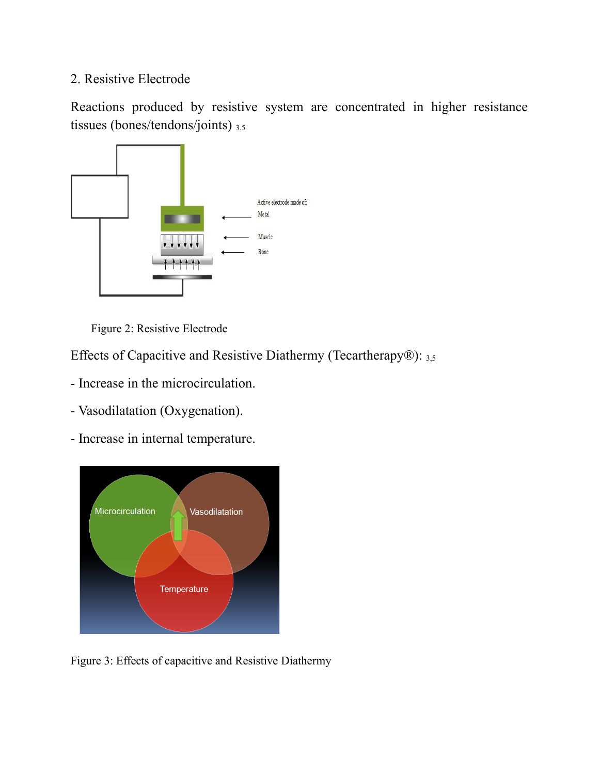### 2. Resistive Electrode

Reactions produced by resistive system are concentrated in higher resistance tissues (bones/tendons/joints)  $_{3.5}$ 



Figure 2: Resistive Electrode

Effects of Capacitive and Resistive Diathermy (Tecartherapy®): 3,5

- Increase in the microcirculation.
- Vasodilatation (Oxygenation).
- Increase in internal temperature.



Figure 3: Effects of capacitive and Resistive Diathermy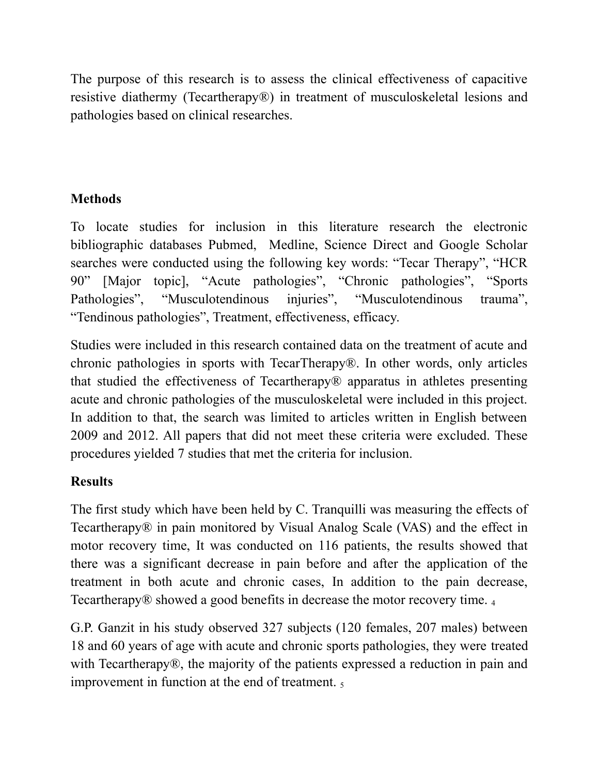The purpose of this research is to assess the clinical effectiveness of capacitive resistive diathermy (Tecartherapy®) in treatment of musculoskeletal lesions and pathologies based on clinical researches.

# **Methods**

To locate studies for inclusion in this literature research the electronic bibliographic databases Pubmed, Medline, Science Direct and Google Scholar searches were conducted using the following key words: "Tecar Therapy", "HCR 90" [Major topic], "Acute pathologies", "Chronic pathologies", "Sports Pathologies", "Musculotendinous injuries", "Musculotendinous trauma", "Tendinous pathologies", Treatment, effectiveness, efficacy.

Studies were included in this research contained data on the treatment of acute and chronic pathologies in sports with TecarTherapy®. In other words, only articles that studied the effectiveness of Tecartherapy® apparatus in athletes presenting acute and chronic pathologies of the musculoskeletal were included in this project. In addition to that, the search was limited to articles written in English between 2009 and 2012. All papers that did not meet these criteria were excluded. These procedures yielded 7 studies that met the criteria for inclusion.

## **Results**

The first study which have been held by C. Tranquilli was measuring the effects of Tecartherapy® in pain monitored by Visual Analog Scale (VAS) and the effect in motor recovery time, It was conducted on 116 patients, the results showed that there was a significant decrease in pain before and after the application of the treatment in both acute and chronic cases, In addition to the pain decrease, Tecartherapy® showed a good benefits in decrease the motor recovery time. <sup>4</sup>

G.P. Ganzit in his study observed 327 subjects (120 females, 207 males) between 18 and 60 years of age with acute and chronic sports pathologies, they were treated with Tecartherapy®, the majority of the patients expressed a reduction in pain and improvement in function at the end of treatment.  $\frac{1}{5}$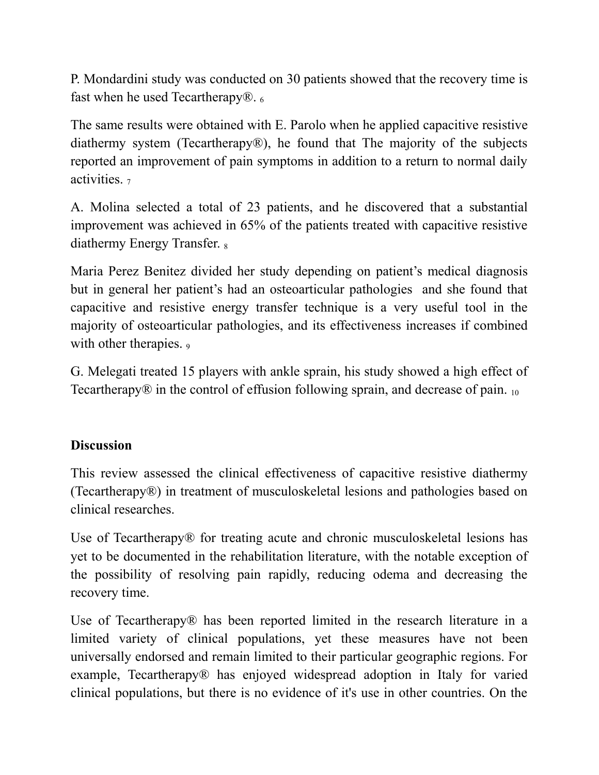P. Mondardini study was conducted on 30 patients showed that the recovery time is fast when he used Tecartherapy $\mathbb{R}_{6}$ .

The same results were obtained with E. Parolo when he applied capacitive resistive diathermy system (Tecartherapy®), he found that The majority of the subjects reported an improvement of pain symptoms in addition to a return to normal daily activities. <sup>7</sup>

A. Molina selected a total of 23 patients, and he discovered that a substantial improvement was achieved in 65% of the patients treated with capacitive resistive diathermy Energy Transfer. <sup>8</sup>

Maria Perez Benitez divided her study depending on patient's medical diagnosis but in general her patient's had an osteoarticular pathologies and she found that capacitive and resistive energy transfer technique is a very useful tool in the majority of osteoarticular pathologies, and its effectiveness increases if combined with other therapies. 9

G. Melegati treated 15 players with ankle sprain, his study showed a high effect of Tecartherapy $\circledR$  in the control of effusion following sprain, and decrease of pain.  $_{10}$ 

### **Discussion**

This review assessed the clinical effectiveness of capacitive resistive diathermy (Tecartherapy®) in treatment of musculoskeletal lesions and pathologies based on clinical researches.

Use of Tecartherapy<sup>®</sup> for treating acute and chronic musculoskeletal lesions has yet to be documented in the rehabilitation literature, with the notable exception of the possibility of resolving pain rapidly, reducing odema and decreasing the recovery time.

Use of Tecartherapy<sup>®</sup> has been reported limited in the research literature in a limited variety of clinical populations, yet these measures have not been universally endorsed and remain limited to their particular geographic regions. For example, Tecartherapy<sup>®</sup> has enjoyed widespread adoption in Italy for varied clinical populations, but there is no evidence of it's use in other countries. On the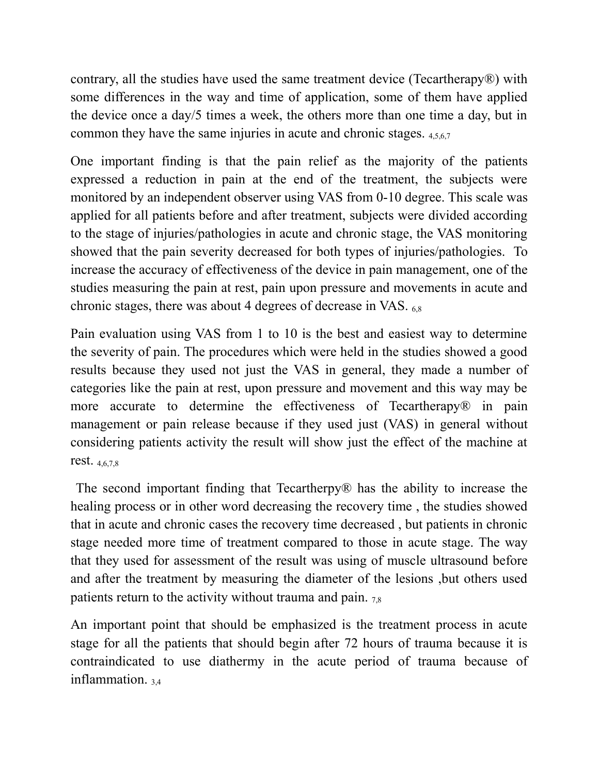contrary, all the studies have used the same treatment device (Tecartherapy®) with some differences in the way and time of application, some of them have applied the device once a day/5 times a week, the others more than one time a day, but in common they have the same injuries in acute and chronic stages.  $4567$ 

One important finding is that the pain relief as the majority of the patients expressed a reduction in pain at the end of the treatment, the subjects were monitored by an independent observer using VAS from 0-10 degree. This scale was applied for all patients before and after treatment, subjects were divided according to the stage of injuries/pathologies in acute and chronic stage, the VAS monitoring showed that the pain severity decreased for both types of injuries/pathologies. To increase the accuracy of effectiveness of the device in pain management, one of the studies measuring the pain at rest, pain upon pressure and movements in acute and chronic stages, there was about 4 degrees of decrease in VAS. 6,8

Pain evaluation using VAS from 1 to 10 is the best and easiest way to determine the severity of pain. The procedures which were held in the studies showed a good results because they used not just the VAS in general, they made a number of categories like the pain at rest, upon pressure and movement and this way may be more accurate to determine the effectiveness of Tecartherapy<sup>®</sup> in pain management or pain release because if they used just (VAS) in general without considering patients activity the result will show just the effect of the machine at rest. 4,6,7,8

 The second important finding that Tecartherpy® has the ability to increase the healing process or in other word decreasing the recovery time , the studies showed that in acute and chronic cases the recovery time decreased , but patients in chronic stage needed more time of treatment compared to those in acute stage. The way that they used for assessment of the result was using of muscle ultrasound before and after the treatment by measuring the diameter of the lesions ,but others used patients return to the activity without trauma and pain.  $78$ 

An important point that should be emphasized is the treatment process in acute stage for all the patients that should begin after 72 hours of trauma because it is contraindicated to use diathermy in the acute period of trauma because of inflammation.  $34$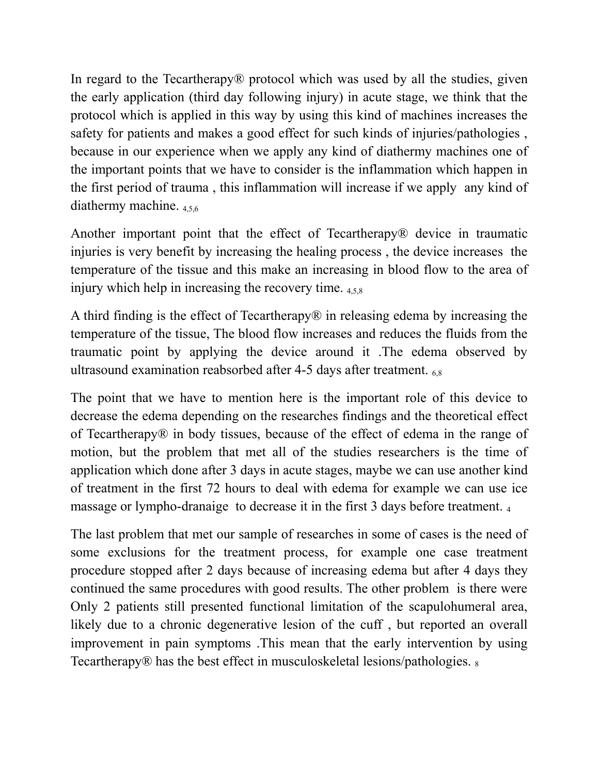In regard to the Tecartherapy® protocol which was used by all the studies, given the early application (third day following injury) in acute stage, we think that the protocol which is applied in this way by using this kind of machines increases the safety for patients and makes a good effect for such kinds of injuries/pathologies , because in our experience when we apply any kind of diathermy machines one of the important points that we have to consider is the inflammation which happen in the first period of trauma , this inflammation will increase if we apply any kind of diathermy machine.  $456$ 

Another important point that the effect of Tecartherapy® device in traumatic injuries is very benefit by increasing the healing process , the device increases the temperature of the tissue and this make an increasing in blood flow to the area of injury which help in increasing the recovery time.  $458$ 

A third finding is the effect of Tecartherapy® in releasing edema by increasing the temperature of the tissue, The blood flow increases and reduces the fluids from the traumatic point by applying the device around it .The edema observed by ultrasound examination reabsorbed after 4-5 days after treatment.  $_{6.8}$ 

The point that we have to mention here is the important role of this device to decrease the edema depending on the researches findings and the theoretical effect of Tecartherapy® in body tissues, because of the effect of edema in the range of motion, but the problem that met all of the studies researchers is the time of application which done after 3 days in acute stages, maybe we can use another kind of treatment in the first 72 hours to deal with edema for example we can use ice massage or lympho-dranaige to decrease it in the first 3 days before treatment. <sup>4</sup>

The last problem that met our sample of researches in some of cases is the need of some exclusions for the treatment process, for example one case treatment procedure stopped after 2 days because of increasing edema but after 4 days they continued the same procedures with good results. The other problem is there were Only 2 patients still presented functional limitation of the scapulohumeral area, likely due to a chronic degenerative lesion of the cuff, but reported an overall improvement in pain symptoms .This mean that the early intervention by using Tecartherapy<sup>®</sup> has the best effect in musculoskeletal lesions/pathologies.  $\frac{1}{8}$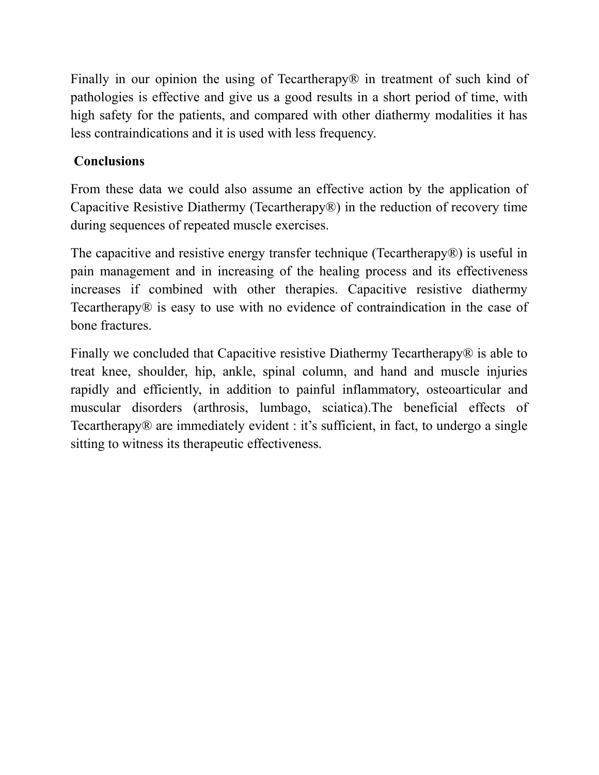Finally in our opinion the using of Tecartherapy<sup>®</sup> in treatment of such kind of pathologies is effective and give us a good results in a short period of time, with high safety for the patients, and compared with other diathermy modalities it has less contraindications and it is used with less frequency.

## **Conclusions**

From these data we could also assume an effective action by the application of Capacitive Resistive Diathermy (Tecartherapy®) in the reduction of recovery time during sequences of repeated muscle exercises.

The capacitive and resistive energy transfer technique (Tecartherapy®) is useful in pain management and in increasing of the healing process and its effectiveness increases if combined with other therapies. Capacitive resistive diathermy Tecartherapy® is easy to use with no evidence of contraindication in the case of bone fractures.

Finally we concluded that Capacitive resistive Diathermy Tecartherapy® is able to treat knee, shoulder, hip, ankle, spinal column, and hand and muscle injuries rapidly and efficiently, in addition to painful inflammatory, osteoarticular and muscular disorders (arthrosis, lumbago, sciatica).The beneficial effects of Tecartherapy® are immediately evident : it's sufficient, in fact, to undergo a single sitting to witness its therapeutic effectiveness.